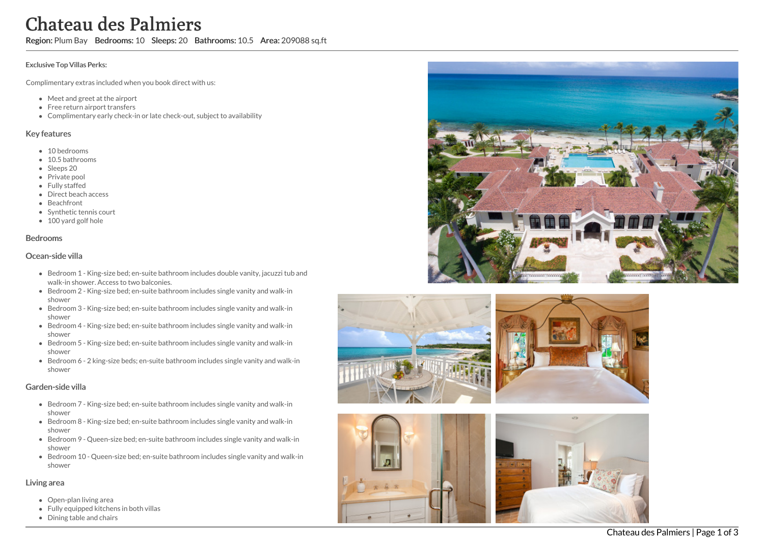# Chateau des Palmiers

Region: Plum Bay Bedrooms: 10 Sleeps: 20 Bathrooms: 10.5 Area: 209088 sq.ft

#### Exclusive Top Villas Perks:

Complimentary extras included when you book direct with us:

- Meet and greet at the airport
- Free return airport transfers
- Complimentary early check-in or late check-out, subject to availability

#### Key features

- 10 bedrooms
- 10.5 bathrooms
- Sleeps 20
- Private pool
- Fully staffed
- Direct beach access
- **Beachfront**
- Synthetic tennis court
- 100 yard golf hole

#### **Bedrooms**

#### O c e a n - sid e villa

- Bedroom 1 King-size bed; en-suite bathroom includes double vanity, jacuzzi tub and walk-in shower. Access to two balconies.
- Bedroom 2 King-size bed; en-suite bathroom includes single vanity and walk-in s h o w e r
- Bedroom 3 King-size bed; en-suite bathroom includes single vanity and walk-in s h o w e r
- Bedroom 4 King-size bed; en-suite bathroom includes single vanity and walk-in s h o w e r
- Bedroom 5 King-size bed; en-suite bathroom includes single vanity and walk-in s h o w e r
- Bedroom 6 2 king-size beds; en-suite bathroom includes single vanity and walk-in s h o w e r

## Garden-side villa

- Bedroom 7 King-size bed; en-suite bathroom includes single vanity and walk-in s h o w e r
- Bedroom 8 King-size bed; en-suite bathroom includes single vanity and walk-in s h o w e r
- Bedroom 9 Queen-size bed; en-suite bathroom includes single vanity and walk-in s h o w e r
- Bedroom 10 Queen-size bed; en-suite bathroom includes single vanity and walk-in s h o w e r

#### Living area

- Open-plan living area
- Fully equipped kitchens in both villas
- Dining table and chairs









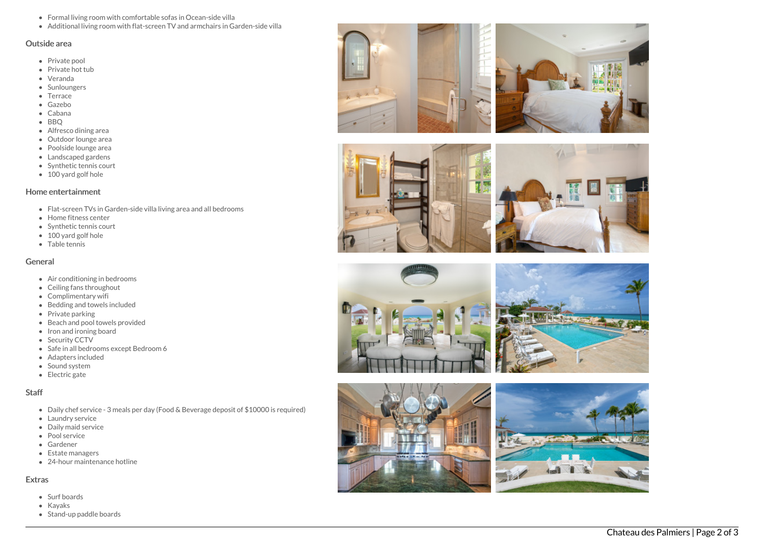- Formal living room with comfortable sofas in Ocean-side villa
- Additional living room with flat-screen TV and armchairs in Garden-side villa

#### Outside area

- Private pool
- Private hot t u b
- Veranda
- **Sunloungers**
- Terrace
- G a z e b o
- Cabana
- B B Q
- Alfresco dining area
- Outdoor lounge area
- Poolside lounge area
- Landscaped gardens
- Synthetic tennis court
- 100 yard golf hole

#### Home entertainment

- Flat-screen TVs in Garden-side villa living area and all bedrooms
- Home fitness center
- Synthetic tennis court
- 100 yard golf hole
- T a ble t e n nis

## General

- Air conditioning in bedrooms
- Ceiling fans throughout
- Complimentary wifi
- Bedding and towels in clu d e d
- Private parking
- Beach and pool towels provided
- Iron and ironing board
- Security CCTV
- Safe in all bedrooms except Bed r o o m 6
- Adapters included
- Sound system
- Electric gate

## S t a f f

- Daily chef service 3 meals per day (Food & Beverage deposit of \$10000 is required)
- Laundry service
- Daily maid service
- Pool service
- Gardener
- Estate managers
- 24-hour maintenance hotline

## **Extras**

- Surf boards
- K a y a k s
- Stand-up paddle boards